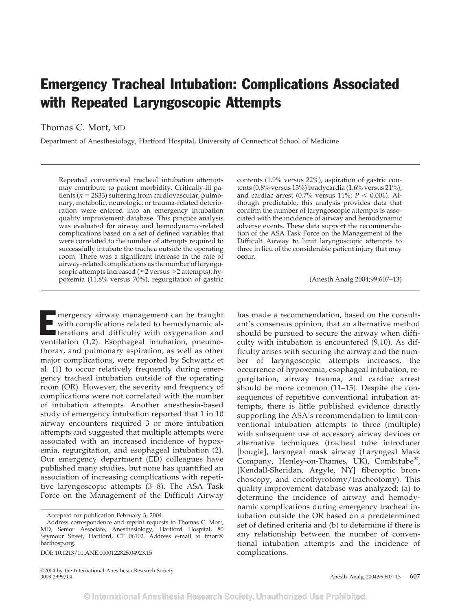# Emergency Tracheal Intubation: Complications Associated with Repeated Laryngoscopic Attempts

#### Thomas C. Mort, MD

Department of Anesthesiology, Hartford Hospital, University of Connecticut School of Medicine

Repeated conventional tracheal intubation attempts may contribute to patient morbidity. Critically-ill patients ( $n = 2833$ ) suffering from cardiovascular, pulmonary, metabolic, neurologic, or trauma-related deterioration were entered into an emergency intubation quality improvement database. This practice analysis was evaluated for airway and hemodynamic-related complications based on a set of defined variables that were correlated to the number of attempts required to successfully intubate the trachea outside the operating room. There was a significant increase in the rate of airway-related complications as the number of laryngoscopic attempts increased ( $\leq$ 2 versus >2 attempts): hypoxemia (11.8% versus 70%), regurgitation of gastric

**EXECUTE MANU ENTERT MANU ENTERT MANU ENTERT**<br>
terations and difficulty with oxygenation and<br>
terations and difficulty with oxygenation and with complications related to hemodynamic alventilation (1,2). Esophageal intubation, pneumothorax, and pulmonary aspiration, as well as other major complications, were reported by Schwartz et al. (1) to occur relatively frequently during emergency tracheal intubation outside of the operating room (OR). However, the severity and frequency of complications were not correlated with the number of intubation attempts. Another anesthesia-based study of emergency intubation reported that 1 in 10 airway encounters required 3 or more intubation attempts and suggested that multiple attempts were associated with an increased incidence of hypoxemia, regurgitation, and esophageal intubation (2). Our emergency department (ED) colleagues have published many studies, but none has quantified an association of increasing complications with repetitive laryngoscopic attempts (3–8). The ASA Task Force on the Management of the Difficult Airway

DOI: 10.1213/01.ANE.0000122825.04923.15

©2004 by the International Anesthesia Research Society

contents (1.9% versus 22%), aspiration of gastric contents (0.8% versus 13%) bradycardia (1.6% versus 21%), and cardiac arrest (0.7% versus  $11\%$ ;  $P < 0.001$ ). Although predictable, this analysis provides data that confirm the number of laryngoscopic attempts is associated with the incidence of airway and hemodynamic adverse events. These data support the recommendation of the ASA Task Force on the Management of the Difficult Airway to limit laryngoscopic attempts to three in lieu of the considerable patient injury that may occur.

(Anesth Analg 2004;99:607–13)

has made a recommendation, based on the consultant's consensus opinion, that an alternative method should be pursued to secure the airway when difficulty with intubation is encountered (9,10). As difficulty arises with securing the airway and the number of laryngoscopic attempts increases, the occurrence of hypoxemia, esophageal intubation, regurgitation, airway trauma, and cardiac arrest should be more common (11–15). Despite the consequences of repetitive conventional intubation attempts, there is little published evidence directly supporting the ASA's recommendation to limit conventional intubation attempts to three (multiple) with subsequent use of accessory airway devices or alternative techniques (tracheal tube introducer [bougie], laryngeal mask airway (Laryngeal Mask Company, Henley-on-Thames, UK), Combitube®, [Kendall-Sheridan, Argyle, NY] fiberoptic bronchoscopy, and cricothyrotomy/tracheotomy). This quality improvement database was analyzed: (a) to determine the incidence of airway and hemodynamic complications during emergency tracheal intubation outside the OR based on a predetermined set of defined criteria and (b) to determine if there is any relationship between the number of conventional intubation attempts and the incidence of complications.

Accepted for publication February 3, 2004.

Address correspondence and reprint requests to Thomas C. Mort, MD, Senior Associate, Anesthesiology, Hartford Hospital, 80 Seymour Street, Hartford, CT 06102. Address e-mail to tmort@ harthosp.org.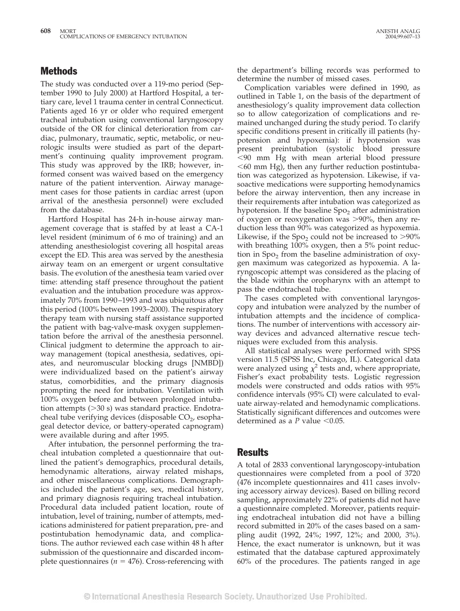### Methods

The study was conducted over a 119-mo period (September 1990 to July 2000) at Hartford Hospital, a tertiary care, level 1 trauma center in central Connecticut. Patients aged 16 yr or older who required emergent tracheal intubation using conventional laryngoscopy outside of the OR for clinical deterioration from cardiac, pulmonary, traumatic, septic, metabolic, or neurologic insults were studied as part of the department's continuing quality improvement program. This study was approved by the IRB; however, informed consent was waived based on the emergency nature of the patient intervention. Airway management cases for those patients in cardiac arrest (upon arrival of the anesthesia personnel) were excluded from the database.

Hartford Hospital has 24-h in-house airway management coverage that is staffed by at least a CA-1 level resident (minimum of 6 mo of training) and an attending anesthesiologist covering all hospital areas except the ED. This area was served by the anesthesia airway team on an emergent or urgent consultative basis. The evolution of the anesthesia team varied over time: attending staff presence throughout the patient evaluation and the intubation procedure was approximately 70% from 1990–1993 and was ubiquitous after this period (100% between 1993–2000). The respiratory therapy team with nursing staff assistance supported the patient with bag-valve-mask oxygen supplementation before the arrival of the anesthesia personnel. Clinical judgment to determine the approach to airway management (topical anesthesia, sedatives, opiates, and neuromuscular blocking drugs [NMBD]) were individualized based on the patient's airway status, comorbidities, and the primary diagnosis prompting the need for intubation. Ventilation with 100% oxygen before and between prolonged intubation attempts (> 30 s) was standard practice. Endotracheal tube verifying devices (disposable  $CO<sub>2</sub>$ , esophageal detector device, or battery-operated capnogram) were available during and after 1995.

After intubation, the personnel performing the tracheal intubation completed a questionnaire that outlined the patient's demographics, procedural details, hemodynamic alterations, airway related mishaps, and other miscellaneous complications. Demographics included the patient's age, sex, medical history, and primary diagnosis requiring tracheal intubation. Procedural data included patient location, route of intubation, level of training, number of attempts, medications administered for patient preparation, pre- and postintubation hemodynamic data, and complications. The author reviewed each case within 48 h after submission of the questionnaire and discarded incomplete questionnaires ( $n = 476$ ). Cross-referencing with

the department's billing records was performed to determine the number of missed cases.

Complication variables were defined in 1990, as outlined in Table 1, on the basis of the department of anesthesiology's quality improvement data collection so to allow categorization of complications and remained unchanged during the study period. To clarify specific conditions present in critically ill patients (hypotension and hypoxemia): if hypotension was present preintubation (systolic blood pressure 90 mm Hg with mean arterial blood pressure  $<$  60 mm Hg), then any further reduction postintubation was categorized as hypotension. Likewise, if vasoactive medications were supporting hemodynamics before the airway intervention, then any increase in their requirements after intubation was categorized as hypotension. If the baseline  $Spo<sub>2</sub>$  after administration of oxygen or reoxygenation was >90%, then any reduction less than 90% was categorized as hypoxemia. Likewise, if the  $Spo<sub>2</sub>$  could not be increased to  $>90\%$ with breathing 100% oxygen, then a 5% point reduction in  $Spo<sub>2</sub>$  from the baseline administration of oxygen maximum was categorized as hypoxemia. A laryngoscopic attempt was considered as the placing of the blade within the oropharynx with an attempt to pass the endotracheal tube.

The cases completed with conventional laryngoscopy and intubation were analyzed by the number of intubation attempts and the incidence of complications. The number of interventions with accessory airway devices and advanced alternative rescue techniques were excluded from this analysis.

All statistical analyses were performed with SPSS version 11.5 (SPSS Inc, Chicago, IL). Categorical data were analyzed using  $\chi^2$  tests and, where appropriate, Fisher's exact probability tests. Logistic regression models were constructed and odds ratios with 95% confidence intervals (95% CI) were calculated to evaluate airway-related and hemodynamic complications. Statistically significant differences and outcomes were determined as a  $P$  value  $\leq 0.05$ .

#### Results

A total of 2833 conventional laryngoscopy-intubation questionnaires were completed from a pool of 3720 (476 incomplete questionnaires and 411 cases involving accessory airway devices). Based on billing record sampling, approximately 22% of patients did not have a questionnaire completed. Moreover, patients requiring endotracheal intubation did not have a billing record submitted in 20% of the cases based on a sampling audit (1992, 24%; 1997, 12%; and 2000, 3%). Hence, the exact numerator is unknown, but it was estimated that the database captured approximately 60% of the procedures. The patients ranged in age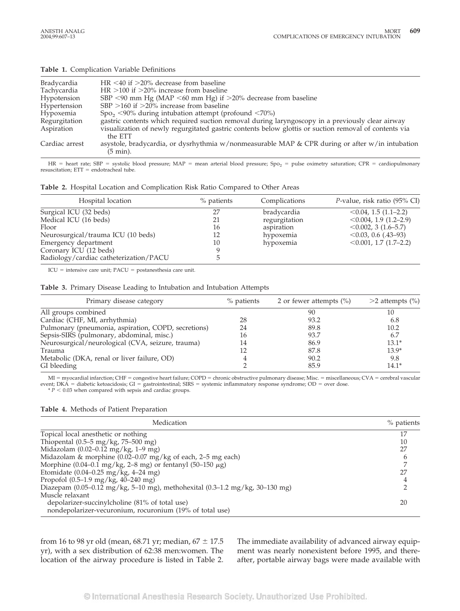| Bradycardia    | $HR < 40$ if $>20\%$ decrease from baseline                                                                      |
|----------------|------------------------------------------------------------------------------------------------------------------|
| Tachycardia    | $HR > 100$ if $>20\%$ increase from baseline                                                                     |
| Hypotension    | SBP $\leq$ 90 mm Hg (MAP $\leq$ 60 mm Hg) if $\geq$ 20% decrease from baseline                                   |
| Hypertension   | $SBP > 160$ if $>20\%$ increase from baseline                                                                    |
| Hypoxemia      | Spo <sub>2</sub> <90% during intubation attempt (profound <70%)                                                  |
| Regurgitation  | gastric contents which required suction removal during laryngoscopy in a previously clear airway                 |
| Aspiration     | visualization of newly regurgitated gastric contents below glottis or suction removal of contents via<br>the ETT |
| Cardiac arrest | asystole, bradycardia, or dysrhythmia w/nonmeasurable MAP & CPR during or after w/in intubation                  |
|                | $(5 \text{ min})$ .                                                                                              |

#### **Table 1.** Complication Variable Definitions

HR = heart rate; SBP = systolic blood pressure; MAP = mean arterial blood pressure; Spo<sub>2</sub> = pulse oximetry saturation; CPR = cardiopulmonary resuscitation; ETT = endotracheal tube.

**Table 2.** Hospital Location and Complication Risk Ratio Compared to Other Areas

| Hospital location                      | $%$ patients | Complications | P-value, risk ratio (95% CI) |
|----------------------------------------|--------------|---------------|------------------------------|
| Surgical ICU (32 beds)                 | 27           | bradycardia   | $< 0.04, 1.5 (1.1 - 2.2)$    |
| Medical ICU (16 beds)                  | 21           | regurgitation | $\leq 0.004$ , 1.9 (1.2–2.9) |
| Floor                                  | 16           | aspiration    | $\leq 0.002$ , 3 (1.6–5.7)   |
| Neurosurgical/trauma ICU (10 beds)     | 12           | hypoxemia     | $\leq$ 0.03, 0.6 (.43–93)    |
| Emergency department                   | 10           | hypoxemia     | $\leq 0.001, 1.7$ (1.7–2.2)  |
| Coronary ICU (12 beds)                 |              |               |                              |
| Radiology/cardiac catheterization/PACU |              |               |                              |

ICU = intensive care unit; PACU = postanesthesia care unit.

|  |  |  |  |  |  | <b>Table 3.</b> Primary Disease Leading to Intubation and Intubation Attempts |  |  |  |
|--|--|--|--|--|--|-------------------------------------------------------------------------------|--|--|--|
|--|--|--|--|--|--|-------------------------------------------------------------------------------|--|--|--|

| Primary disease category                            | $%$ patients | 2 or fewer attempts $(\%)$ | $>$ 2 attempts (%) |
|-----------------------------------------------------|--------------|----------------------------|--------------------|
| All groups combined                                 |              | 90                         | 10                 |
| Cardiac (CHF, MI, arrhythmia)                       | 28           | 93.2                       | 6.8                |
| Pulmonary (pneumonia, aspiration, COPD, secretions) | 24           | 89.8                       | 10.2               |
| Sepsis-SIRS (pulmonary, abdominal, misc.)           | 16           | 93.7                       | 6.7                |
| Neurosurgical/neurological (CVA, seizure, trauma)   | 14           | 86.9                       | $13.1*$            |
| Trauma                                              | 12           | 87.8                       | $13.9*$            |
| Metabolic (DKA, renal or liver failure, OD)         |              | 90.2                       | 9.8                |
| GI bleeding                                         |              | 85.9                       | $14.1*$            |

MI = myocardial infarction; CHF = congestive heart failure; COPD = chronic obstructive pulmonary disease; Misc. = miscellaneous; CVA = cerebral vascular event; DKA = diabetic ketoacidosis; GI = gastrointestinal; SIRS = systemic inflammatory response syndrome; OD = over dose.

 $* P < 0.03$  when compared with sepsis and cardiac groups.

**Table 4.** Methods of Patient Preparation

| Medication                                                                                                 | % patients |  |
|------------------------------------------------------------------------------------------------------------|------------|--|
| Topical local anesthetic or nothing                                                                        | 17         |  |
| Thiopental $(0.5-5 \text{ mg/kg}, 75-500 \text{ mg})$                                                      | 10         |  |
| Midazolam (0.02-0.12 mg/kg, 1-9 mg)                                                                        | 27         |  |
| Midazolam & morphine $(0.02-0.07 \text{ mg/kg})$ of each, 2-5 mg each)                                     |            |  |
| Morphine (0.04–0.1 mg/kg, 2–8 mg) or fentanyl (50–150 $\mu$ g)                                             |            |  |
| Etomidate $(0.04 - 0.25 \text{ mg/kg}, 4 - 24 \text{ mg})$                                                 | 27         |  |
| Propofol (0.5–1.9 mg/kg, 40–240 mg)                                                                        |            |  |
| Diazepam (0.05–0.12 mg/kg, 5–10 mg), methohexital (0.3–1.2 mg/kg, 30–130 mg)                               |            |  |
| Muscle relaxant                                                                                            |            |  |
| depolarizer-succinylcholine (81% of total use)<br>nondepolarizer-vecuronium, rocuronium (19% of total use) | 20         |  |

from 16 to 98 yr old (mean, 68.71 yr; median,  $67 \pm 17.5$ yr), with a sex distribution of 62:38 men:women. The location of the airway procedure is listed in Table 2.

The immediate availability of advanced airway equipment was nearly nonexistent before 1995, and thereafter, portable airway bags were made available with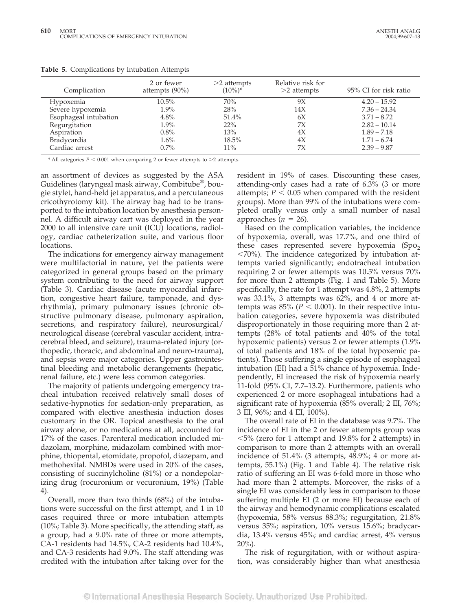| Complication          | 2 or fewer<br>attempts $(90\%)$ | $>2$ attempts<br>$(10\%)^*$ | Relative risk for<br>$>2$ attempts | 95% CI for risk ratio |
|-----------------------|---------------------------------|-----------------------------|------------------------------------|-----------------------|
| Hypoxemia             | $10.5\%$                        | 70%                         | 9Χ                                 | $4.20 - 15.92$        |
| Severe hypoxemia      | $1.9\%$                         | 28%                         | 14X                                | $7.36 - 24.34$        |
| Esophageal intubation | 4.8%                            | 51.4%                       | 6X                                 | $3.71 - 8.72$         |
| Regurgitation         | $1.9\%$                         | 22%                         | 7Х                                 | $2.82 - 10.14$        |
| Aspiration            | $0.8\%$                         | 13%                         | 4X                                 | $1.89 - 7.18$         |
| <b>Bradycardia</b>    | $1.6\%$                         | $18.5\%$                    | 4X                                 | $1.71 - 6.74$         |
| Cardiac arrest        | $0.7\%$                         | $11\%$                      | 7Х                                 | $2.39 - 9.87$         |

**Table 5.** Complications by Intubation Attempts

 $*$  All categories  $P < 0.001$  when comparing 2 or fewer attempts to  $>2$  attempts.

an assortment of devices as suggested by the ASA Guidelines (laryngeal mask airway, Combitube®, bougie stylet, hand-held jet apparatus, and a percutaneous cricothyrotomy kit). The airway bag had to be transported to the intubation location by anesthesia personnel. A difficult airway cart was deployed in the year 2000 to all intensive care unit (ICU) locations, radiology, cardiac catheterization suite, and various floor locations.

The indications for emergency airway management were multifactorial in nature, yet the patients were categorized in general groups based on the primary system contributing to the need for airway support (Table 3). Cardiac disease (acute myocardial infarction, congestive heart failure, tamponade, and dysrhythmia), primary pulmonary issues (chronic obstructive pulmonary disease, pulmonary aspiration, secretions, and respiratory failure), neurosurgical/ neurological disease (cerebral vascular accident, intracerebral bleed, and seizure), trauma-related injury (orthopedic, thoracic, and abdominal and neuro-trauma), and sepsis were major categories. Upper gastrointestinal bleeding and metabolic derangements (hepatic, renal failure, etc.) were less common categories.

The majority of patients undergoing emergency tracheal intubation received relatively small doses of sedative-hypnotics for sedation-only preparation, as compared with elective anesthesia induction doses customary in the OR. Topical anesthesia to the oral airway alone, or no medications at all, accounted for 17% of the cases. Parenteral medication included midazolam, morphine, midazolam combined with morphine, thiopental, etomidate, propofol, diazepam, and methohexital. NMBDs were used in 20% of the cases, consisting of succinylcholine (81%) or a nondepolarizing drug (rocuronium or vecuronium, 19%) (Table 4).

Overall, more than two thirds (68%) of the intubations were successful on the first attempt, and 1 in 10 cases required three or more intubation attempts (10%; Table 3). More specifically, the attending staff, as a group, had a 9.0% rate of three or more attempts, CA-1 residents had 14.5%, CA-2 residents had 10.4%, and CA-3 residents had 9.0%. The staff attending was credited with the intubation after taking over for the

resident in 19% of cases. Discounting these cases, attending-only cases had a rate of 6.3% (3 or more attempts;  $P < 0.05$  when compared with the resident groups). More than 99% of the intubations were completed orally versus only a small number of nasal approaches  $(n = 26)$ .

Based on the complication variables, the incidence of hypoxemia, overall, was 17.7%, and one third of these cases represented severe hypoxemia  $(Spo<sub>2</sub>)$  $<$ 70%). The incidence categorized by intubation attempts varied significantly; endotracheal intubation requiring 2 or fewer attempts was 10.5% versus 70% for more than 2 attempts (Fig. 1 and Table 5). More specifically, the rate for 1 attempt was 4.8%, 2 attempts was 33.1%, 3 attempts was 62%, and 4 or more attempts was  $85\%$  ( $P < 0.001$ ). In their respective intubation categories, severe hypoxemia was distributed disproportionately in those requiring more than 2 attempts (28% of total patients and 40% of the total hypoxemic patients) versus 2 or fewer attempts (1.9% of total patients and 18% of the total hypoxemic patients). Those suffering a single episode of esophageal intubation (EI) had a 51% chance of hypoxemia. Independently, EI increased the risk of hypoxemia nearly 11-fold (95% CI, 7.7–13.2). Furthermore, patients who experienced 2 or more esophageal intubations had a significant rate of hypoxemia (85% overall; 2 EI, 76%; 3 EI, 96%; and 4 EI, 100%).

The overall rate of EI in the database was 9.7%. The incidence of EI in the 2 or fewer attempts group was 5% (zero for 1 attempt and 19.8% for 2 attempts) in comparison to more than 2 attempts with an overall incidence of 51.4% (3 attempts, 48.9%; 4 or more attempts, 55.1%) (Fig. 1 and Table 4). The relative risk ratio of suffering an EI was 6-fold more in those who had more than 2 attempts. Moreover, the risks of a single EI was considerably less in comparison to those suffering multiple EI (2 or more EI) because each of the airway and hemodynamic complications escalated (hypoxemia, 58% versus 88.3%; regurgitation, 21.8% versus 35%; aspiration, 10% versus 15.6%; bradycardia, 13.4% versus 45%; and cardiac arrest, 4% versus 20%).

The risk of regurgitation, with or without aspiration, was considerably higher than what anesthesia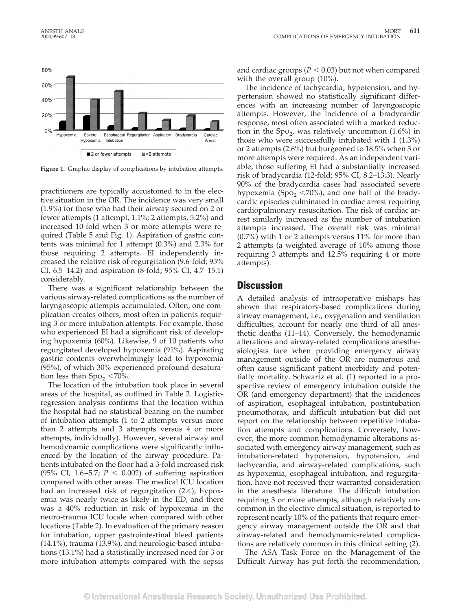

**Figure 1.** Graphic display of complications by intubation attempts.

practitioners are typically accustomed to in the elective situation in the OR. The incidence was very small (1.9%) for those who had their airway secured on 2 or fewer attempts (1 attempt, 1.1%; 2 attempts, 5.2%) and increased 10-fold when 3 or more attempts were required (Table 5 and Fig. 1). Aspiration of gastric contents was minimal for 1 attempt (0.3%) and 2.3% for those requiring 2 attempts. EI independently increased the relative risk of regurgitation (9.6-fold; 95% CI, 6.5–14.2) and aspiration (8-fold; 95% CI, 4.7–15.1) considerably.

There was a significant relationship between the various airway-related complications as the number of laryngoscopic attempts accumulated. Often, one complication creates others, most often in patients requiring 3 or more intubation attempts. For example, those who experienced EI had a significant risk of developing hypoxemia (60%). Likewise, 9 of 10 patients who regurgitated developed hypoxemia (91%). Aspirating gastric contents overwhelmingly lead to hypoxemia (95%), of which 30% experienced profound desaturation less than  $Spo<sub>2</sub> < 70%$ .

The location of the intubation took place in several areas of the hospital, as outlined in Table 2. Logisticregression analysis confirms that the location within the hospital had no statistical bearing on the number of intubation attempts (1 to 2 attempts versus more than 2 attempts and 3 attempts versus 4 or more attempts, individually). However, several airway and hemodynamic complications were significantly influenced by the location of the airway procedure. Patients intubated on the floor had a 3-fold increased risk (95% CI, 1.6–5.7;  $P < 0.002$ ) of suffering aspiration compared with other areas. The medical ICU location had an increased risk of regurgitation  $(2\times)$ , hypoxemia was nearly twice as likely in the ED, and there was a 40% reduction in risk of hypoxemia in the neuro-trauma ICU locale when compared with other locations (Table 2). In evaluation of the primary reason for intubation, upper gastrointestinal bleed patients (14.1%), trauma (13.9%), and neurologic-based intubations (13.1%) had a statistically increased need for 3 or more intubation attempts compared with the sepsis

and cardiac groups ( $P < 0.03$ ) but not when compared with the overall group (10%).

The incidence of tachycardia, hypotension, and hypertension showed no statistically significant differences with an increasing number of laryngoscopic attempts. However, the incidence of a bradycardic response, most often associated with a marked reduction in the Spo<sub>2</sub>, was relatively uncommon  $(1.6\%)$  in those who were successfully intubated with 1 (1.3%) or 2 attempts (2.6%) but burgeoned to 18.5% when 3 or more attempts were required. As an independent variable, those suffering EI had a substantially increased risk of bradycardia (12-fold; 95% CI, 8.2–13.3). Nearly 90% of the bradycardia cases had associated severe hypoxemia (Spo<sub>2</sub> <70%), and one half of the bradycardic episodes culminated in cardiac arrest requiring cardiopulmonary resuscitation. The risk of cardiac arrest similarly increased as the number of intubation attempts increased. The overall risk was minimal (0.7%) with 1 or 2 attempts versus 11% for more than 2 attempts (a weighted average of 10% among those requiring 3 attempts and 12.5% requiring 4 or more attempts).

## **Discussion**

A detailed analysis of intraoperative mishaps has shown that respiratory-based complications during airway management, i.e., oxygenation and ventilation difficulties, account for nearly one third of all anesthetic deaths (11–14). Conversely, the hemodynamic alterations and airway-related complications anesthesiologists face when providing emergency airway management outside of the OR are numerous and often cause significant patient morbidity and potentially mortality. Schwartz et al. (1) reported in a prospective review of emergency intubation outside the OR (and emergency department) that the incidences of aspiration, esophageal intubation, postintubation pneumothorax, and difficult intubation but did not report on the relationship between repetitive intubation attempts and complications. Conversely, however, the more common hemodynamic alterations associated with emergency airway management, such as intubation-related hypotension, hypotension, and tachycardia, and airway-related complications, such as hypoxemia, esophageal intubation, and regurgitation, have not received their warranted consideration in the anesthesia literature. The difficult intubation requiring 3 or more attempts, although relatively uncommon in the elective clinical situation, is reported to represent nearly 10% of the patients that require emergency airway management outside the OR and that airway-related and hemodynamic-related complications are relatively common in this clinical setting (2).

The ASA Task Force on the Management of the Difficult Airway has put forth the recommendation,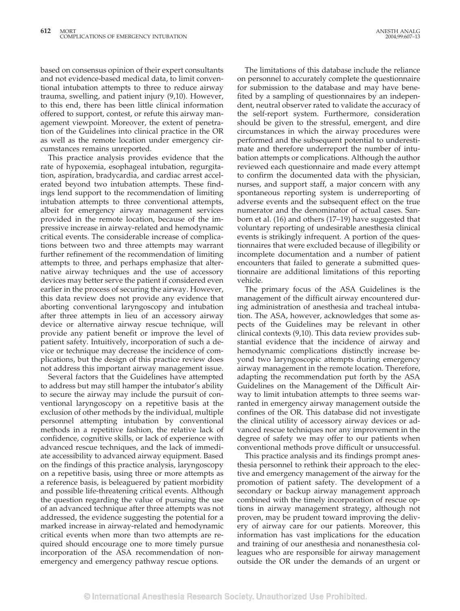based on consensus opinion of their expert consultants and not evidence-based medical data, to limit conventional intubation attempts to three to reduce airway trauma, swelling, and patient injury (9,10). However, to this end, there has been little clinical information offered to support, contest, or refute this airway management viewpoint. Moreover, the extent of penetration of the Guidelines into clinical practice in the OR as well as the remote location under emergency circumstances remains unreported.

This practice analysis provides evidence that the rate of hypoxemia, esophageal intubation, regurgitation, aspiration, bradycardia, and cardiac arrest accelerated beyond two intubation attempts. These findings lend support to the recommendation of limiting intubation attempts to three conventional attempts, albeit for emergency airway management services provided in the remote location, because of the impressive increase in airway-related and hemodynamic critical events. The considerable increase of complications between two and three attempts may warrant further refinement of the recommendation of limiting attempts to three, and perhaps emphasize that alternative airway techniques and the use of accessory devices may better serve the patient if considered even earlier in the process of securing the airway. However, this data review does not provide any evidence that aborting conventional laryngoscopy and intubation after three attempts in lieu of an accessory airway device or alternative airway rescue technique, will provide any patient benefit or improve the level of patient safety. Intuitively, incorporation of such a device or technique may decrease the incidence of complications, but the design of this practice review does not address this important airway management issue.

Several factors that the Guidelines have attempted to address but may still hamper the intubator's ability to secure the airway may include the pursuit of conventional laryngoscopy on a repetitive basis at the exclusion of other methods by the individual, multiple personnel attempting intubation by conventional methods in a repetitive fashion, the relative lack of confidence, cognitive skills, or lack of experience with advanced rescue techniques, and the lack of immediate accessibility to advanced airway equipment. Based on the findings of this practice analysis, laryngoscopy on a repetitive basis, using three or more attempts as a reference basis, is beleaguered by patient morbidity and possible life-threatening critical events. Although the question regarding the value of pursuing the use of an advanced technique after three attempts was not addressed, the evidence suggesting the potential for a marked increase in airway-related and hemodynamic critical events when more than two attempts are required should encourage one to more timely pursue incorporation of the ASA recommendation of nonemergency and emergency pathway rescue options.

The limitations of this database include the reliance on personnel to accurately complete the questionnaire for submission to the database and may have benefited by a sampling of questionnaires by an independent, neutral observer rated to validate the accuracy of the self-report system. Furthermore, consideration should be given to the stressful, emergent, and dire circumstances in which the airway procedures were performed and the subsequent potential to underestimate and therefore underreport the number of intubation attempts or complications. Although the author reviewed each questionnaire and made every attempt to confirm the documented data with the physician, nurses, and support staff, a major concern with any spontaneous reporting system is underreporting of adverse events and the subsequent effect on the true numerator and the denominator of actual cases. Sanborn et al. (16) and others (17–19) have suggested that voluntary reporting of undesirable anesthesia clinical events is strikingly infrequent. A portion of the questionnaires that were excluded because of illegibility or incomplete documentation and a number of patient encounters that failed to generate a submitted questionnaire are additional limitations of this reporting vehicle.

The primary focus of the ASA Guidelines is the management of the difficult airway encountered during administration of anesthesia and tracheal intubation. The ASA, however, acknowledges that some aspects of the Guidelines may be relevant in other clinical contexts (9,10). This data review provides substantial evidence that the incidence of airway and hemodynamic complications distinctly increase beyond two laryngoscopic attempts during emergency airway management in the remote location. Therefore, adapting the recommendation put forth by the ASA Guidelines on the Management of the Difficult Airway to limit intubation attempts to three seems warranted in emergency airway management outside the confines of the OR. This database did not investigate the clinical utility of accessory airway devices or advanced rescue techniques nor any improvement in the degree of safety we may offer to our patients when conventional methods prove difficult or unsuccessful.

This practice analysis and its findings prompt anesthesia personnel to rethink their approach to the elective and emergency management of the airway for the promotion of patient safety. The development of a secondary or backup airway management approach combined with the timely incorporation of rescue options in airway management strategy, although not proven, may be prudent toward improving the delivery of airway care for our patients. Moreover, this information has vast implications for the education and training of our anesthesia and nonanesthesia colleagues who are responsible for airway management outside the OR under the demands of an urgent or